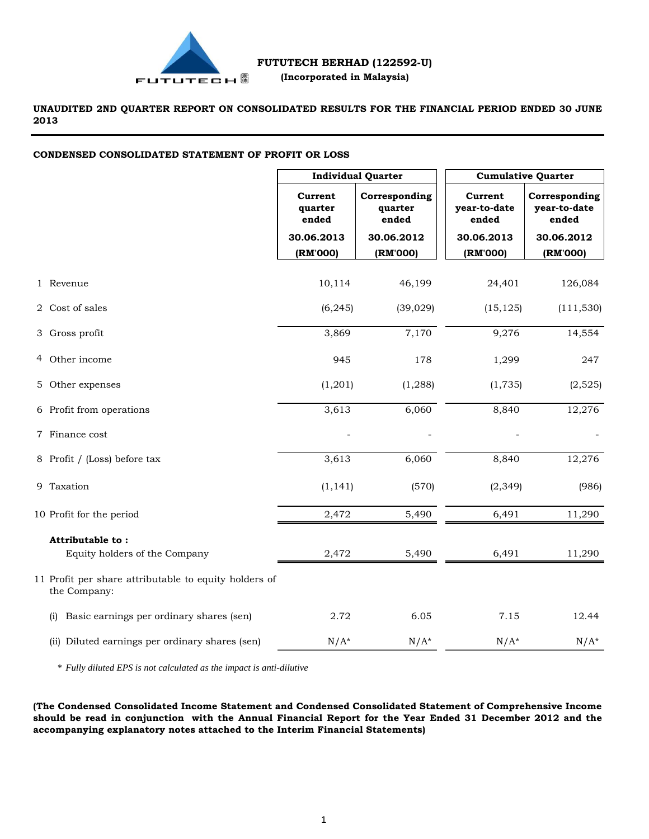

**UNAUDITED 2ND QUARTER REPORT ON CONSOLIDATED RESULTS FOR THE FINANCIAL PERIOD ENDED 30 JUNE 2013**

#### **CONDENSED CONSOLIDATED STATEMENT OF PROFIT OR LOSS**

|                                                                       | <b>Individual Quarter</b>                                        |            | <b>Cumulative Quarter</b>        |                                        |
|-----------------------------------------------------------------------|------------------------------------------------------------------|------------|----------------------------------|----------------------------------------|
|                                                                       | Corresponding<br>Current<br>quarter<br>quarter<br>ended<br>ended |            | Current<br>year-to-date<br>ended | Corresponding<br>year-to-date<br>ended |
|                                                                       | 30.06.2013                                                       | 30.06.2012 | 30.06.2013                       | 30.06.2012                             |
|                                                                       | (RM'000)                                                         | (RM'000)   | (RM'000)                         | (RM'000)                               |
| 1 Revenue                                                             | 10,114                                                           | 46,199     | 24,401                           | 126,084                                |
| 2 Cost of sales                                                       | (6, 245)                                                         | (39, 029)  | (15, 125)                        | (111, 530)                             |
| 3 Gross profit                                                        | 3,869                                                            | 7,170      | 9,276                            | 14,554                                 |
| 4 Other income                                                        | 945                                                              | 178        | 1,299                            | 247                                    |
| 5 Other expenses                                                      | (1,201)                                                          | (1, 288)   | (1,735)                          | (2,525)                                |
| 6 Profit from operations                                              | 3,613                                                            | 6,060      | 8,840                            | 12,276                                 |
| 7 Finance cost                                                        |                                                                  |            |                                  |                                        |
| 8 Profit / (Loss) before tax                                          | 3,613                                                            | 6,060      | 8,840                            | 12,276                                 |
| 9 Taxation                                                            | (1, 141)                                                         | (570)      | (2, 349)                         | (986)                                  |
| 10 Profit for the period                                              | 2,472                                                            | 5,490      | 6,491                            | 11,290                                 |
| Attributable to:                                                      |                                                                  |            |                                  |                                        |
| Equity holders of the Company                                         | 2,472                                                            | 5,490      | 6,491                            | 11,290                                 |
| 11 Profit per share attributable to equity holders of<br>the Company: |                                                                  |            |                                  |                                        |
| Basic earnings per ordinary shares (sen)<br>(i)                       | 2.72                                                             | 6.05       | 7.15                             | 12.44                                  |
| (ii) Diluted earnings per ordinary shares (sen)                       | $N/A^*$                                                          | $N/A^*$    | $N/A^*$                          | $N/A^*$                                |

\* *Fully diluted EPS is not calculated as the impact is anti-dilutive*

**(The Condensed Consolidated Income Statement and Condensed Consolidated Statement of Comprehensive Income**  should be read in conjunction with the Annual Financial Report for the Year Ended 31 December 2012 and the **accompanying explanatory notes attached to the Interim Financial Statements)**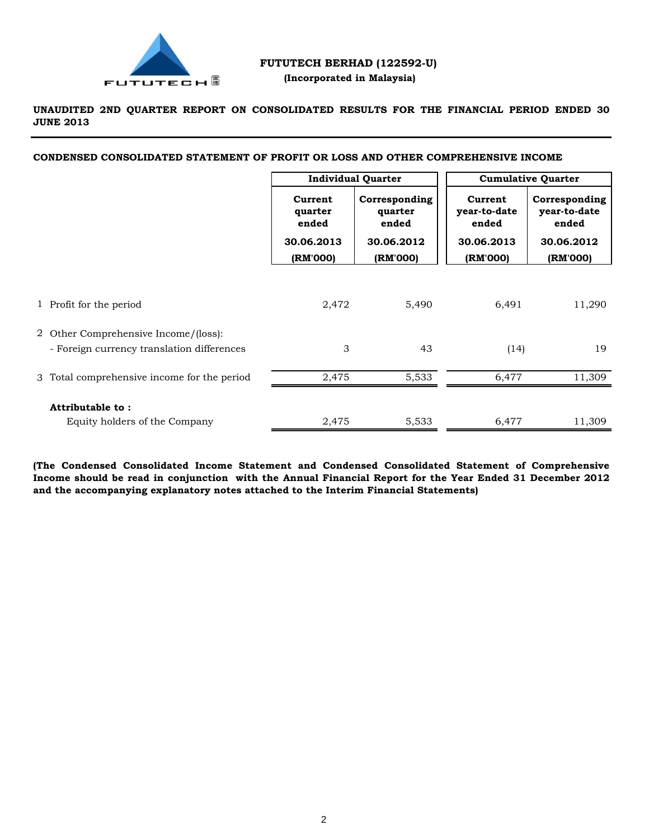

# **FUTUTECH BERHAD (122592-U) (Incorporated in Malaysia)**

**UNAUDITED 2ND QUARTER REPORT ON CONSOLIDATED RESULTS FOR THE FINANCIAL PERIOD ENDED 30 JUNE 2013**

**CONDENSED CONSOLIDATED STATEMENT OF PROFIT OR LOSS AND OTHER COMPREHENSIVE INCOME**

|                                                                                    | <b>Individual Quarter</b>                 |                                                 | <b>Cumulative Quarter</b>                      |                                                      |
|------------------------------------------------------------------------------------|-------------------------------------------|-------------------------------------------------|------------------------------------------------|------------------------------------------------------|
|                                                                                    | Current<br>quarter<br>ended<br>30.06.2013 | Corresponding<br>quarter<br>ended<br>30.06.2012 | Current<br>year-to-date<br>ended<br>30.06.2013 | Corresponding<br>year-to-date<br>ended<br>30.06.2012 |
|                                                                                    | (RM'000)                                  | (RM'000)                                        | (RM'000)                                       | (RM'000)                                             |
| 1 Profit for the period                                                            | 2,472                                     | 5,490                                           | 6,491                                          | 11,290                                               |
| 2 Other Comprehensive Income/(loss):<br>- Foreign currency translation differences | 3                                         | 43                                              | (14)                                           | 19                                                   |
| 3 Total comprehensive income for the period                                        | 2,475                                     | 5,533                                           | 6,477                                          | 11,309                                               |
| Attributable to:<br>Equity holders of the Company                                  | 2,475                                     | 5,533                                           | 6,477                                          | 11,309                                               |

**(The Condensed Consolidated Income Statement and Condensed Consolidated Statement of Comprehensive** Income should be read in conjunction with the Annual Financial Report for the Year Ended 31 December 2012 **and the accompanying explanatory notes attached to the Interim Financial Statements)**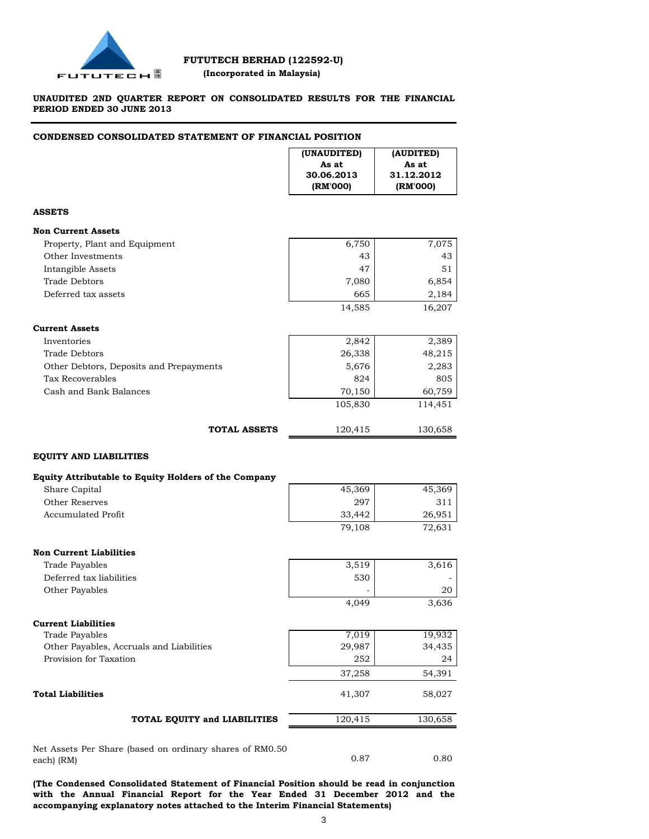

# **FUTUTECH BERHAD (122592-U) (Incorporated in Malaysia)**

## **UNAUDITED 2ND QUARTER REPORT ON CONSOLIDATED RESULTS FOR THE FINANCIAL PERIOD ENDED 30 JUNE 2013**

#### **CONDENSED CONSOLIDATED STATEMENT OF FINANCIAL POSITION**

|                                                          | (UNAUDITED)<br>As at<br>30.06.2013<br>(RM'000) | (AUDITED)<br>As at<br>31.12.2012<br>(RM'000) |
|----------------------------------------------------------|------------------------------------------------|----------------------------------------------|
| <b>ASSETS</b>                                            |                                                |                                              |
| <b>Non Current Assets</b>                                |                                                |                                              |
| Property, Plant and Equipment                            | 6,750                                          | 7,075                                        |
| Other Investments                                        | 43                                             | 43                                           |
| <b>Intangible Assets</b>                                 | 47                                             | 51                                           |
| Trade Debtors                                            | 7,080                                          | 6,854                                        |
| Deferred tax assets                                      | 665                                            | 2,184                                        |
|                                                          | 14,585                                         | 16,207                                       |
| <b>Current Assets</b>                                    |                                                |                                              |
| Inventories                                              | 2,842                                          | 2,389                                        |
| Trade Debtors                                            | 26,338                                         | 48,215                                       |
| Other Debtors, Deposits and Prepayments                  | 5,676                                          | 2,283                                        |
| Tax Recoverables                                         | 824                                            | 805                                          |
| Cash and Bank Balances                                   | 70,150                                         | 60,759                                       |
|                                                          | 105,830                                        | 114,451                                      |
| <b>TOTAL ASSETS</b>                                      | 120,415                                        | 130,658                                      |
| <b>EQUITY AND LIABILITIES</b>                            |                                                |                                              |
| Equity Attributable to Equity Holders of the Company     |                                                |                                              |
| Share Capital                                            | 45,369                                         | 45,369                                       |
| Other Reserves                                           | 297                                            | 311                                          |
| <b>Accumulated Profit</b>                                | 33,442                                         | 26,951                                       |
|                                                          | 79,108                                         | 72,631                                       |
| <b>Non Current Liabilities</b>                           |                                                |                                              |
| <b>Trade Payables</b>                                    | 3,519                                          | 3,616                                        |
| Deferred tax liabilities                                 | 530                                            |                                              |
| Other Payables                                           |                                                | 20                                           |
|                                                          | 4,049                                          | 3,636                                        |
| <b>Current Liabilities</b>                               |                                                |                                              |
| Trade Payables                                           | 7,019                                          | 19,932                                       |
| Other Payables, Accruals and Liabilities                 | 29,987                                         | 34,435                                       |
| Provision for Taxation                                   | 252                                            | 24                                           |
|                                                          | 37,258                                         | 54,391                                       |
| <b>Total Liabilities</b>                                 | 41,307                                         | 58,027                                       |
| TOTAL EQUITY and LIABILITIES                             | 120,415                                        | 130,658                                      |
| Net Assets Per Share (based on ordinary shares of RM0.50 |                                                |                                              |
| each) (RM)                                               | 0.87                                           | 0.80                                         |

**(The Condensed Consolidated Statement of Financial Position should be read in conjunction with the Annual Financial Report for the Year Ended 31 December 2012 and the accompanying explanatory notes attached to the Interim Financial Statements)**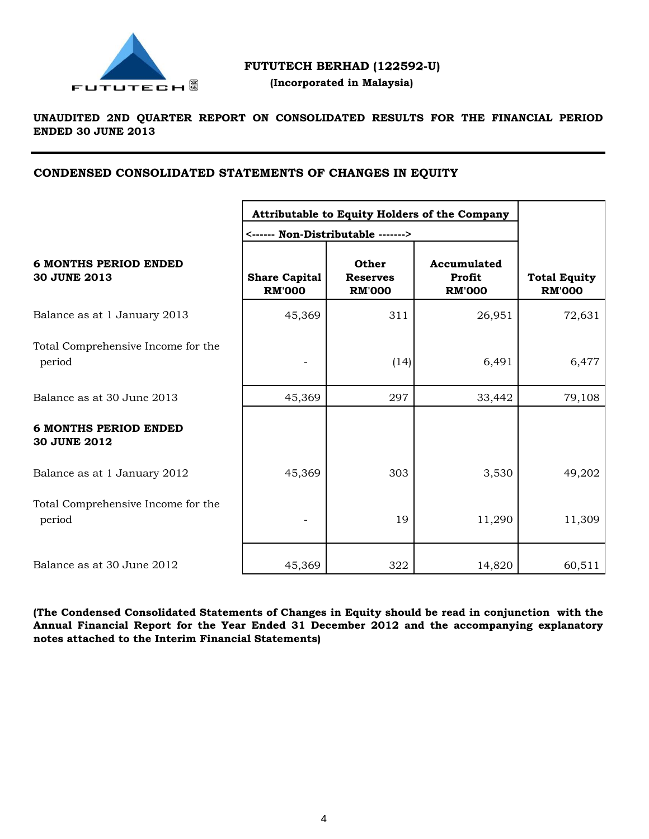

# **FUTUTECH BERHAD (122592-U)**

 **(Incorporated in Malaysia)**

# **UNAUDITED 2ND QUARTER REPORT ON CONSOLIDATED RESULTS FOR THE FINANCIAL PERIOD ENDED 30 JUNE 2013**

# **CONDENSED CONSOLIDATED STATEMENTS OF CHANGES IN EQUITY**

|                                                     | Attributable to Equity Holders of the Company<br><------ Non-Distributable -------> |                                           |                                        |                                      |
|-----------------------------------------------------|-------------------------------------------------------------------------------------|-------------------------------------------|----------------------------------------|--------------------------------------|
| <b>6 MONTHS PERIOD ENDED</b><br><b>30 JUNE 2013</b> | <b>Share Capital</b><br><b>RM'000</b>                                               | Other<br><b>Reserves</b><br><b>RM'000</b> | Accumulated<br>Profit<br><b>RM'000</b> | <b>Total Equity</b><br><b>RM'000</b> |
| Balance as at 1 January 2013                        | 45,369                                                                              | 311                                       | 26,951                                 | 72,631                               |
| Total Comprehensive Income for the<br>period        |                                                                                     | (14)                                      | 6,491                                  | 6,477                                |
| Balance as at 30 June 2013                          | 45,369                                                                              | 297                                       | 33,442                                 | 79,108                               |
| <b>6 MONTHS PERIOD ENDED</b><br><b>30 JUNE 2012</b> |                                                                                     |                                           |                                        |                                      |
| Balance as at 1 January 2012                        | 45,369                                                                              | 303                                       | 3,530                                  | 49,202                               |
| Total Comprehensive Income for the<br>period        |                                                                                     | 19                                        | 11,290                                 | 11,309                               |
| Balance as at 30 June 2012                          | 45,369                                                                              | 322                                       | 14,820                                 | 60,511                               |

**(The Condensed Consolidated Statements of Changes in Equity should be read in conjunction with the Annual Financial Report for the Year Ended 31 December 2012 and the accompanying explanatory notes attached to the Interim Financial Statements)**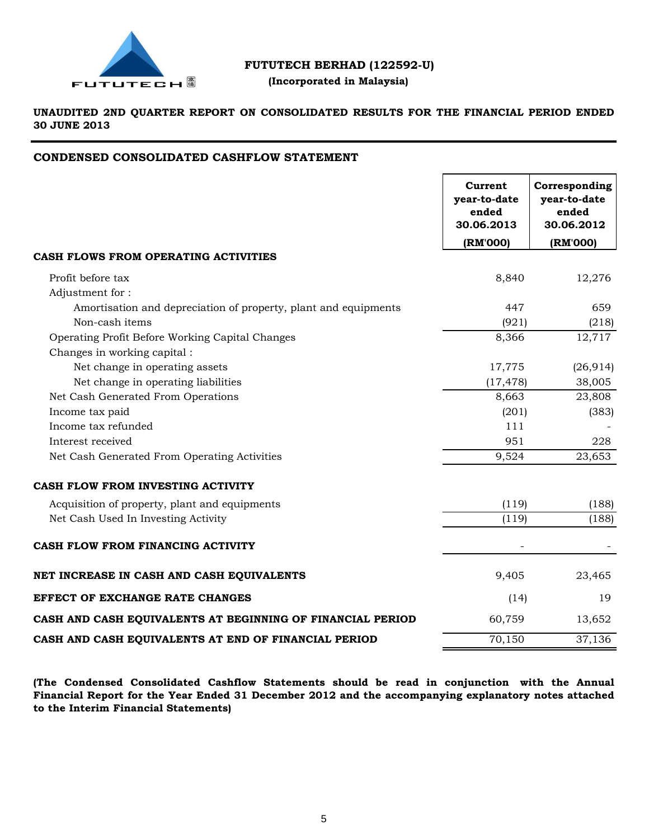

# **FUTUTECH BERHAD (122592-U)**

# **(Incorporated in Malaysia)**

**UNAUDITED 2ND QUARTER REPORT ON CONSOLIDATED RESULTS FOR THE FINANCIAL PERIOD ENDED 30 JUNE 2013**

# **CONDENSED CONSOLIDATED CASHFLOW STATEMENT**

|                                                                 | Current<br>year-to-date<br>ended<br>30.06.2013 | Corresponding<br>year-to-date<br>ended<br>30.06.2012 |
|-----------------------------------------------------------------|------------------------------------------------|------------------------------------------------------|
|                                                                 | (RM'000)                                       | (RM'000)                                             |
| CASH FLOWS FROM OPERATING ACTIVITIES                            |                                                |                                                      |
| Profit before tax                                               | 8,840                                          | 12,276                                               |
| Adjustment for:                                                 |                                                |                                                      |
| Amortisation and depreciation of property, plant and equipments | 447                                            | 659                                                  |
| Non-cash items                                                  | (921)                                          | (218)                                                |
| Operating Profit Before Working Capital Changes                 | 8,366                                          | 12,717                                               |
| Changes in working capital :                                    |                                                |                                                      |
| Net change in operating assets                                  | 17,775                                         | (26, 914)                                            |
| Net change in operating liabilities                             | (17, 478)                                      | 38,005                                               |
| Net Cash Generated From Operations                              | 8,663                                          | 23,808                                               |
| Income tax paid                                                 | (201)                                          | (383)                                                |
| Income tax refunded                                             | 111                                            |                                                      |
| Interest received                                               | 951                                            | 228                                                  |
| Net Cash Generated From Operating Activities                    | 9,524                                          | 23,653                                               |
| CASH FLOW FROM INVESTING ACTIVITY                               |                                                |                                                      |
| Acquisition of property, plant and equipments                   | (119)                                          | (188)                                                |
| Net Cash Used In Investing Activity                             | (119)                                          | (188)                                                |
| CASH FLOW FROM FINANCING ACTIVITY                               |                                                |                                                      |
| NET INCREASE IN CASH AND CASH EQUIVALENTS                       | 9,405                                          | 23,465                                               |
| <b>EFFECT OF EXCHANGE RATE CHANGES</b>                          | (14)                                           | 19                                                   |
| CASH AND CASH EQUIVALENTS AT BEGINNING OF FINANCIAL PERIOD      | 60,759                                         | 13,652                                               |
| CASH AND CASH EQUIVALENTS AT END OF FINANCIAL PERIOD            | 70,150                                         | 37,136                                               |

**(The Condensed Consolidated Cashflow Statements should be read in conjunction with the Annual Financial Report for the Year Ended 31 December 2012 and the accompanying explanatory notes attached to the Interim Financial Statements)**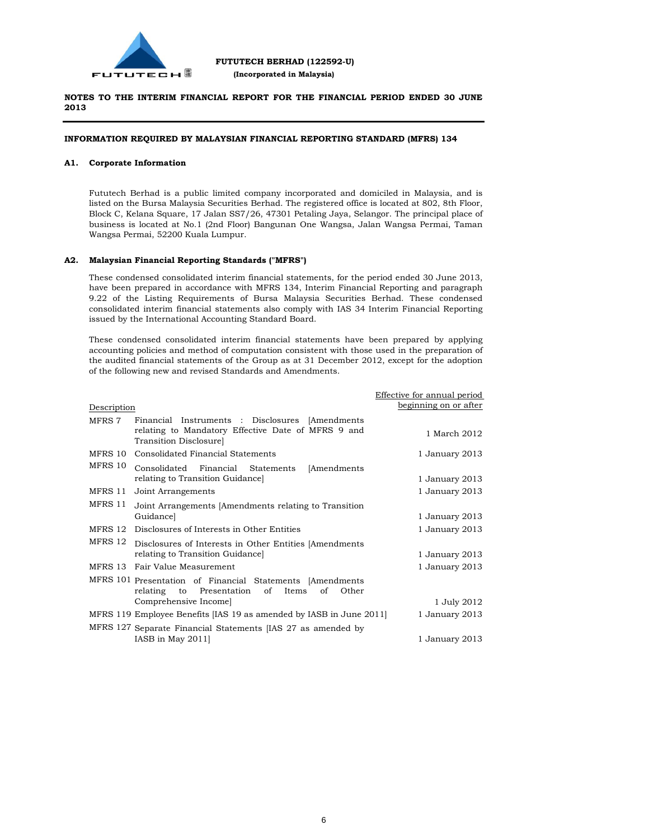

#### **INFORMATION REQUIRED BY MALAYSIAN FINANCIAL REPORTING STANDARD (MFRS) 134**

#### **A1. Corporate Information**

Fututech Berhad is a public limited company incorporated and domiciled in Malaysia, and is listed on the Bursa Malaysia Securities Berhad. The registered office is located at 802, 8th Floor, Block C, Kelana Square, 17 Jalan SS7/26, 47301 Petaling Jaya, Selangor. The principal place of business is located at No.1 (2nd Floor) Bangunan One Wangsa, Jalan Wangsa Permai, Taman Wangsa Permai, 52200 Kuala Lumpur.

#### **A2. Malaysian Financial Reporting Standards ("MFRS")**

These condensed consolidated interim financial statements, for the period ended 30 June 2013, have been prepared in accordance with MFRS 134, Interim Financial Reporting and paragraph 9.22 of the Listing Requirements of Bursa Malaysia Securities Berhad. These condensed consolidated interim financial statements also comply with IAS 34 Interim Financial Reporting issued by the International Accounting Standard Board.

These condensed consolidated interim financial statements have been prepared by applying accounting policies and method of computation consistent with those used in the preparation of the audited financial statements of the Group as at 31 December 2012, except for the adoption of the following new and revised Standards and Amendments.

|             |                                                                                                                                 | Effective for annual period |
|-------------|---------------------------------------------------------------------------------------------------------------------------------|-----------------------------|
| Description |                                                                                                                                 | beginning on or after       |
| MFRS 7      | Financial Instruments : Disclosures [Amendments<br>relating to Mandatory Effective Date of MFRS 9 and<br>Transition Disclosure] | 1 March 2012                |
| MFRS 10     | Consolidated Financial Statements                                                                                               | 1 January 2013              |
| MFRS 10     | Consolidated Financial Statements<br>[Amendments]<br>relating to Transition Guidance                                            | 1 January 2013              |
| MFRS 11     | Joint Arrangements                                                                                                              | 1 January 2013              |
| MFRS 11     | Joint Arrangements [Amendments relating to Transition<br>Guidance]                                                              | 1 January 2013              |
| MFRS 12     | Disclosures of Interests in Other Entities                                                                                      | 1 January 2013              |
| MFRS 12     | Disclosures of Interests in Other Entities [Amendments]<br>relating to Transition Guidance                                      | 1 January 2013              |
| MFRS 13     | Fair Value Measurement                                                                                                          | 1 January 2013              |
|             | MFRS 101 Presentation of Financial Statements [Amendments<br>Presentation of Items<br>relating<br>Other<br>to<br>of             |                             |
|             | Comprehensive Income]                                                                                                           | 1 July 2012                 |
|             | MFRS 119 Employee Benefits [IAS 19 as amended by IASB in June 2011]                                                             | 1 January 2013              |
|             | MFRS 127 Separate Financial Statements [IAS 27 as amended by<br>IASB in May 2011]                                               | 1 January 2013              |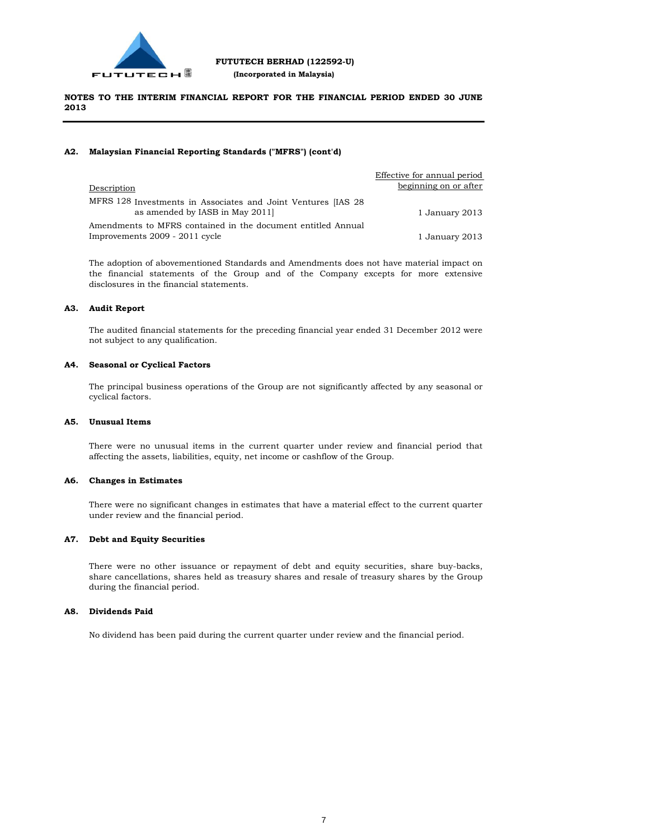

#### **A2. Malaysian Financial Reporting Standards ("MFRS") (cont'd)**

|                                                                                                  | Effective for annual period |
|--------------------------------------------------------------------------------------------------|-----------------------------|
| Description                                                                                      | beginning on or after       |
| MFRS 128 Investments in Associates and Joint Ventures [IAS 28]<br>as amended by IASB in May 2011 | 1 January 2013              |
| Amendments to MFRS contained in the document entitled Annual                                     |                             |
| Improvements 2009 - 2011 cycle                                                                   | 1 January 2013              |

The adoption of abovementioned Standards and Amendments does not have material impact on the financial statements of the Group and of the Company excepts for more extensive disclosures in the financial statements.

#### **A3. Audit Report**

The audited financial statements for the preceding financial year ended 31 December 2012 were not subject to any qualification.

#### **A4. Seasonal or Cyclical Factors**

The principal business operations of the Group are not significantly affected by any seasonal or cyclical factors.

#### **A5. Unusual Items**

There were no unusual items in the current quarter under review and financial period that affecting the assets, liabilities, equity, net income or cashflow of the Group.

#### **A6. Changes in Estimates**

There were no significant changes in estimates that have a material effect to the current quarter under review and the financial period.

#### **A7. Debt and Equity Securities**

There were no other issuance or repayment of debt and equity securities, share buy-backs, share cancellations, shares held as treasury shares and resale of treasury shares by the Group during the financial period.

#### **A8. Dividends Paid**

No dividend has been paid during the current quarter under review and the financial period.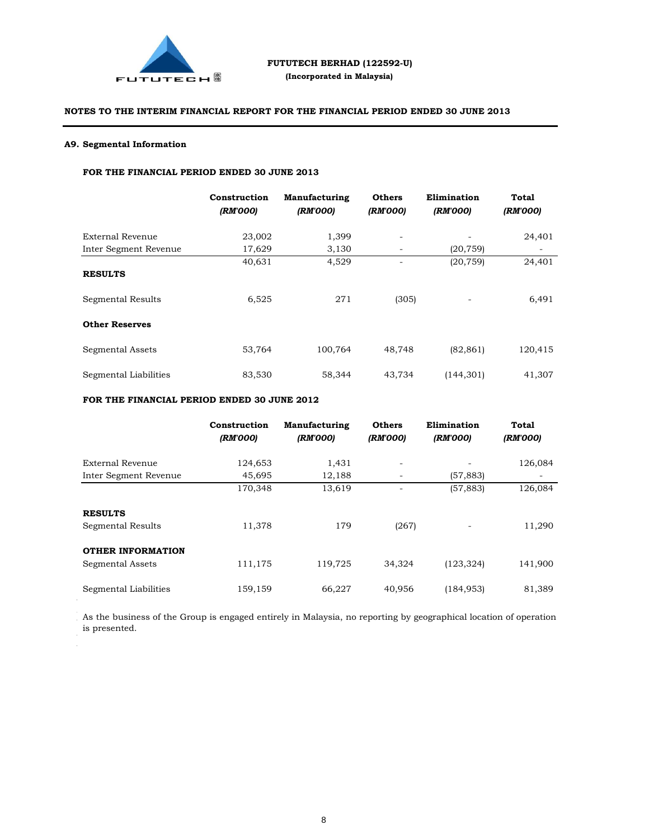

# **A9. Segmental Information**

Proposed UtilisationActual UtilisationUnutilised/  $\overline{\phantom{a}}$ 

# **FOR THE FINANCIAL PERIOD ENDED 30 JUNE 2013**

|                       | Construction<br>(RM'000) | <b>Manufacturing</b><br>(RM'000) | <b>Others</b><br>(RM'000) | Elimination<br>(RM'000) | <b>Total</b><br>(RM'000) |
|-----------------------|--------------------------|----------------------------------|---------------------------|-------------------------|--------------------------|
| External Revenue      | 23,002                   | 1,399                            | -                         |                         | 24,401                   |
| Inter Segment Revenue | 17,629                   | 3,130                            |                           | (20, 759)               |                          |
|                       | 40,631                   | 4,529                            |                           | (20, 759)               | 24,401                   |
| <b>RESULTS</b>        |                          |                                  |                           |                         |                          |
| Segmental Results     | 6,525                    | 271                              | (305)                     | -                       | 6,491                    |
| <b>Other Reserves</b> |                          |                                  |                           |                         |                          |
| Segmental Assets      | 53,764                   | 100,764                          | 48,748                    | (82, 861)               | 120,415                  |
| Segmental Liabilities | 83,530                   | 58,344                           | 43,734                    | (144, 301)              | 41,307                   |

### **FOR THE FINANCIAL PERIOD ENDED 30 JUNE 2012**

|                                              | Construction<br>(RM'000) | Manufacturing<br>(RM'000) | <b>Others</b><br>(RM'000) | Elimination<br>(RM'000) | Total<br>(RM'000)        |
|----------------------------------------------|--------------------------|---------------------------|---------------------------|-------------------------|--------------------------|
| External Revenue                             | 124,653                  | 1,431                     |                           |                         | 126,084                  |
| Inter Segment Revenue                        | 45,695                   | 12,188                    |                           | (57, 883)               | $\overline{\phantom{a}}$ |
|                                              | 170,348                  | 13,619                    |                           | (57, 883)               | 126,084                  |
| <b>RESULTS</b><br>Segmental Results          | 11,378                   | 179                       | (267)                     |                         | 11,290                   |
| <b>OTHER INFORMATION</b><br>Segmental Assets | 111,175                  | 119,725                   | 34,324                    | (123, 324)              | 141,900                  |
| Segmental Liabilities                        | 159,159                  | 66,227                    | 40,956                    | (184, 953)              | 81,389                   |

As the business of the Group is engaged entirely in Malaysia, no reporting by geographical location of operation is presented.  $\mathcal{L}$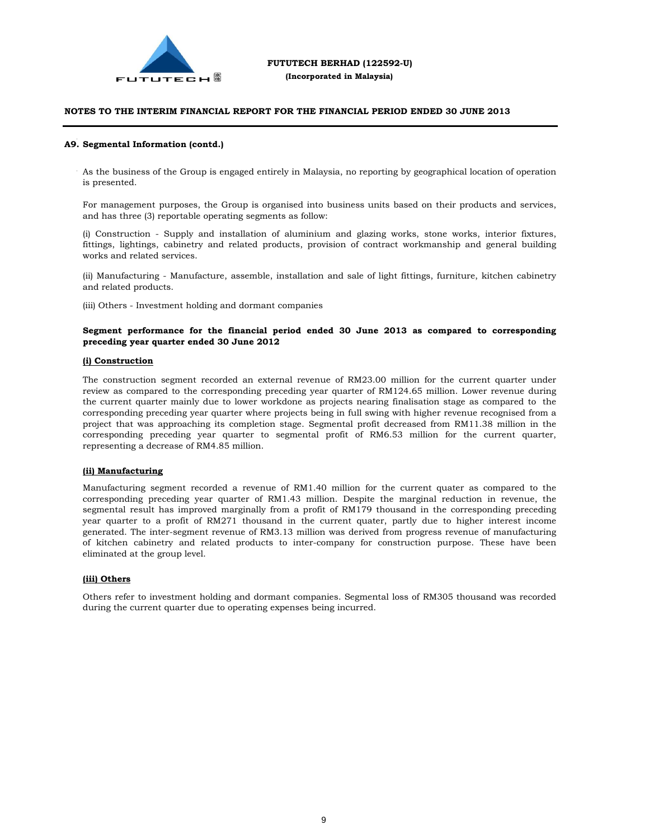

# NOTES TO THE INTERIM FINANCIAL REPORT FOR THE FINANCIAL PERIOD ENDED 30 JUNE 2013  $\frac{d\mathbf{T}}{dt}$

# **A9. Segmental Information (contd.)**

As the business of the Group is engaged entirely in Malaysia, no reporting by geographical location of operation is presented.

For management purposes, the Group is organised into business units based on their products and services, and has three (3) reportable operating segments as follow:

(i) Construction - Supply and installation of aluminium and glazing works, stone works, interior fixtures, fittings, lightings, cabinetry and related products, provision of contract workmanship and general building works and related services.

(ii) Manufacturing - Manufacture, assemble, installation and sale of light fittings, furniture, kitchen cabinetry and related products.

(iii) Others - Investment holding and dormant companies

#### **Segment performance for the financial period ended 30 June 2013 as compared to corresponding preceding year quarter ended 30 June 2012**

#### **(i) Construction**

The construction segment recorded an external revenue of RM23.00 million for the current quarter under review as compared to the corresponding preceding year quarter of RM124.65 million. Lower revenue during the current quarter mainly due to lower workdone as projects nearing finalisation stage as compared to the corresponding preceding year quarter where projects being in full swing with higher revenue recognised from a project that was approaching its completion stage. Segmental profit decreased from RM11.38 million in the corresponding preceding year quarter to segmental profit of RM6.53 million for the current quarter, representing a decrease of RM4.85 million.

#### **(ii) Manufacturing**

Manufacturing segment recorded a revenue of RM1.40 million for the current quater as compared to the corresponding preceding year quarter of RM1.43 million. Despite the marginal reduction in revenue, the segmental result has improved marginally from a profit of RM179 thousand in the corresponding preceding year quarter to a profit of RM271 thousand in the current quater, partly due to higher interest income generated. The inter-segment revenue of RM3.13 million was derived from progress revenue of manufacturing of kitchen cabinetry and related products to inter-company for construction purpose. These have been eliminated at the group level.

#### **(iii) Others**

Others refer to investment holding and dormant companies. Segmental loss of RM305 thousand was recorded during the current quarter due to operating expenses being incurred.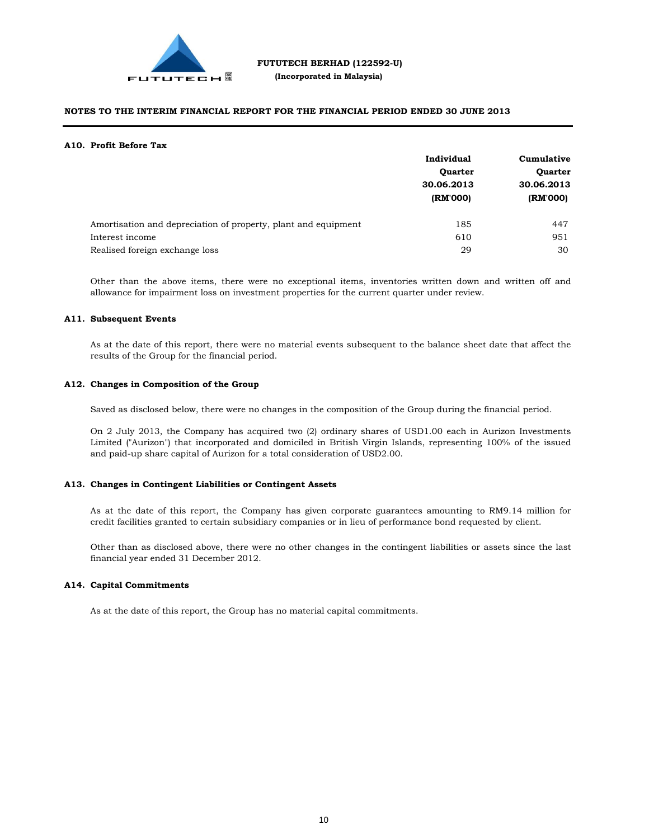

#### **A10. Profit Before Tax**

|                                                                | Individual<br><b>Quarter</b><br>30.06.2013<br>(RM'000) | Cumulative<br><b>Quarter</b><br>30.06.2013 |  |
|----------------------------------------------------------------|--------------------------------------------------------|--------------------------------------------|--|
|                                                                |                                                        |                                            |  |
|                                                                |                                                        |                                            |  |
|                                                                |                                                        | (RM'000)                                   |  |
| Amortisation and depreciation of property, plant and equipment | 185                                                    | 447                                        |  |
| Interest income                                                | 610                                                    | 951                                        |  |
| Realised foreign exchange loss                                 | 29                                                     | 30                                         |  |

Other than the above items, there were no exceptional items, inventories written down and written off and allowance for impairment loss on investment properties for the current quarter under review.

#### **A11. Subsequent Events**

As at the date of this report, there were no material events subsequent to the balance sheet date that affect the results of the Group for the financial period.

#### **A12. Changes in Composition of the Group**

Saved as disclosed below, there were no changes in the composition of the Group during the financial period.

On 2 July 2013, the Company has acquired two (2) ordinary shares of USD1.00 each in Aurizon Investments Limited ("Aurizon") that incorporated and domiciled in British Virgin Islands, representing 100% of the issued and paid-up share capital of Aurizon for a total consideration of USD2.00.

#### **A13. Changes in Contingent Liabilities or Contingent Assets**

As at the date of this report, the Company has given corporate guarantees amounting to RM9.14 million for credit facilities granted to certain subsidiary companies or in lieu of performance bond requested by client.

Other than as disclosed above, there were no other changes in the contingent liabilities or assets since the last financial year ended 31 December 2012.

#### **A14. Capital Commitments**

As at the date of this report, the Group has no material capital commitments.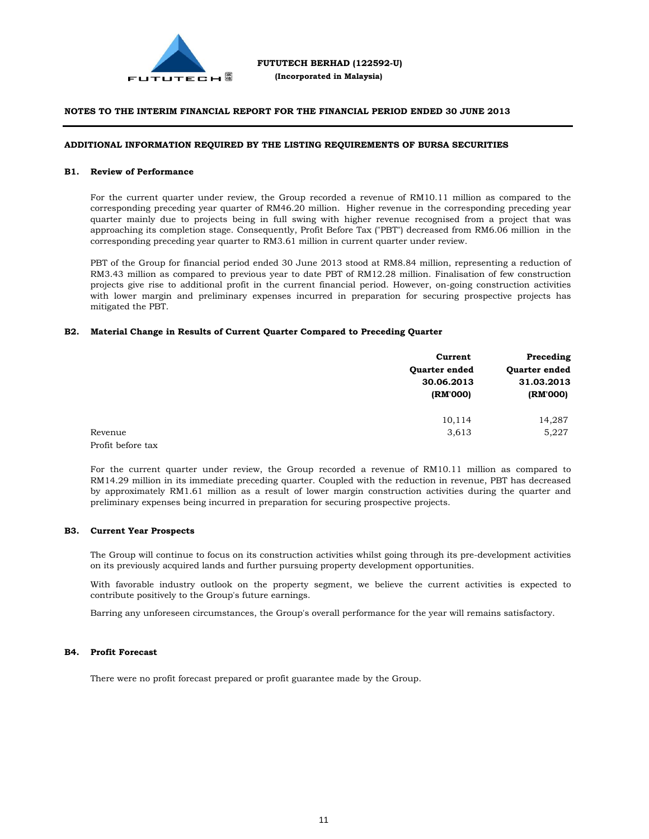

#### **ADDITIONAL INFORMATION REQUIRED BY THE LISTING REQUIREMENTS OF BURSA SECURITIES**

#### **B1. Review of Performance**

For the current quarter under review, the Group recorded a revenue of RM10.11 million as compared to the corresponding preceding year quarter of RM46.20 million. Higher revenue in the corresponding preceding year quarter mainly due to projects being in full swing with higher revenue recognised from a project that was approaching its completion stage. Consequently, Profit Before Tax ("PBT") decreased from RM6.06 million in the corresponding preceding year quarter to RM3.61 million in current quarter under review.

PBT of the Group for financial period ended 30 June 2013 stood at RM8.84 million, representing a reduction of RM3.43 million as compared to previous year to date PBT of RM12.28 million. Finalisation of few construction projects give rise to additional profit in the current financial period. However, on-going construction activities with lower margin and preliminary expenses incurred in preparation for securing prospective projects has mitigated the PBT.

#### **B2. Material Change in Results of Current Quarter Compared to Preceding Quarter**

|                   | Current              | Preceding            |  |
|-------------------|----------------------|----------------------|--|
|                   | <b>Ouarter ended</b> | <b>Ouarter ended</b> |  |
|                   | 30.06.2013           | 31.03.2013           |  |
|                   | (RM'000)             | (RM'000)             |  |
|                   | 10,114               | 14,287               |  |
| Revenue           | 3,613                | 5,227                |  |
| Profit before tax |                      |                      |  |

For the current quarter under review, the Group recorded a revenue of RM10.11 million as compared to RM14.29 million in its immediate preceding quarter. Coupled with the reduction in revenue, PBT has decreased by approximately RM1.61 million as a result of lower margin construction activities during the quarter and preliminary expenses being incurred in preparation for securing prospective projects.

#### **B3. Current Year Prospects**

The Group will continue to focus on its construction activities whilst going through its pre-development activities on its previously acquired lands and further pursuing property development opportunities.

With favorable industry outlook on the property segment, we believe the current activities is expected to contribute positively to the Group's future earnings.

Barring any unforeseen circumstances, the Group's overall performance for the year will remains satisfactory.

#### **B4. Profit Forecast**

There were no profit forecast prepared or profit guarantee made by the Group.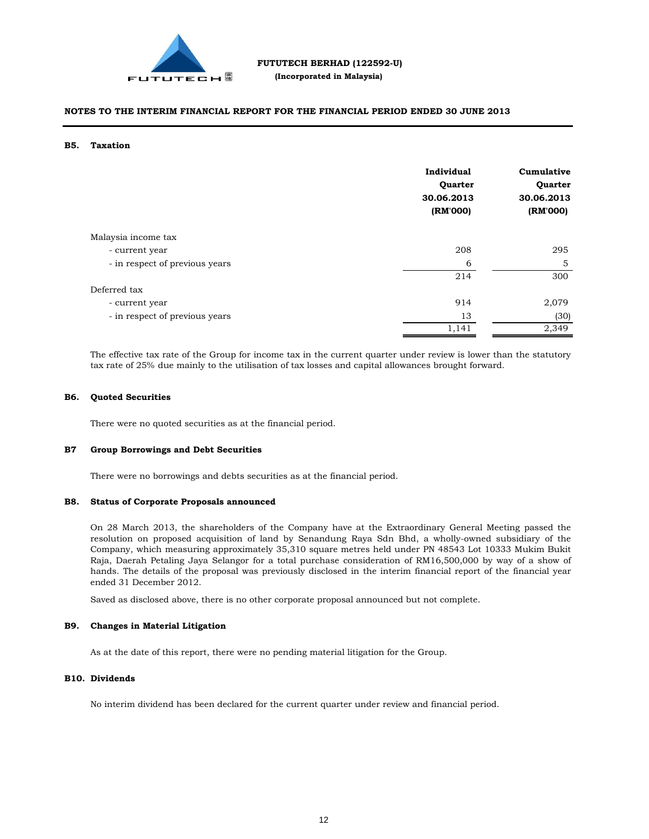

#### **B5. Taxation**

|                                | Individual<br><b>Quarter</b><br>30.06.2013<br>(RM'000) | Cumulative<br>Quarter<br>30.06.2013<br>(RM'000) |
|--------------------------------|--------------------------------------------------------|-------------------------------------------------|
| Malaysia income tax            |                                                        |                                                 |
| - current year                 | 208                                                    | 295                                             |
| - in respect of previous years | 6                                                      | 5                                               |
|                                | 214                                                    | 300                                             |
| Deferred tax                   |                                                        |                                                 |
| - current year                 | 914                                                    | 2,079                                           |
| - in respect of previous years | 13                                                     | (30)                                            |
|                                | 1,141                                                  | 2,349                                           |

The effective tax rate of the Group for income tax in the current quarter under review is lower than the statutory tax rate of 25% due mainly to the utilisation of tax losses and capital allowances brought forward.

#### **B6. Quoted Securities**

There were no quoted securities as at the financial period.

#### **B7 Group Borrowings and Debt Securities**

There were no borrowings and debts securities as at the financial period.

#### **B8. Status of Corporate Proposals announced**

On 28 March 2013, the shareholders of the Company have at the Extraordinary General Meeting passed the resolution on proposed acquisition of land by Senandung Raya Sdn Bhd, a wholly-owned subsidiary of the Company, which measuring approximately 35,310 square metres held under PN 48543 Lot 10333 Mukim Bukit Raja, Daerah Petaling Jaya Selangor for a total purchase consideration of RM16,500,000 by way of a show of hands. The details of the proposal was previously disclosed in the interim financial report of the financial year ended 31 December 2012.

Saved as disclosed above, there is no other corporate proposal announced but not complete.

#### **B9. Changes in Material Litigation**

As at the date of this report, there were no pending material litigation for the Group.

#### **B10. Dividends**

No interim dividend has been declared for the current quarter under review and financial period.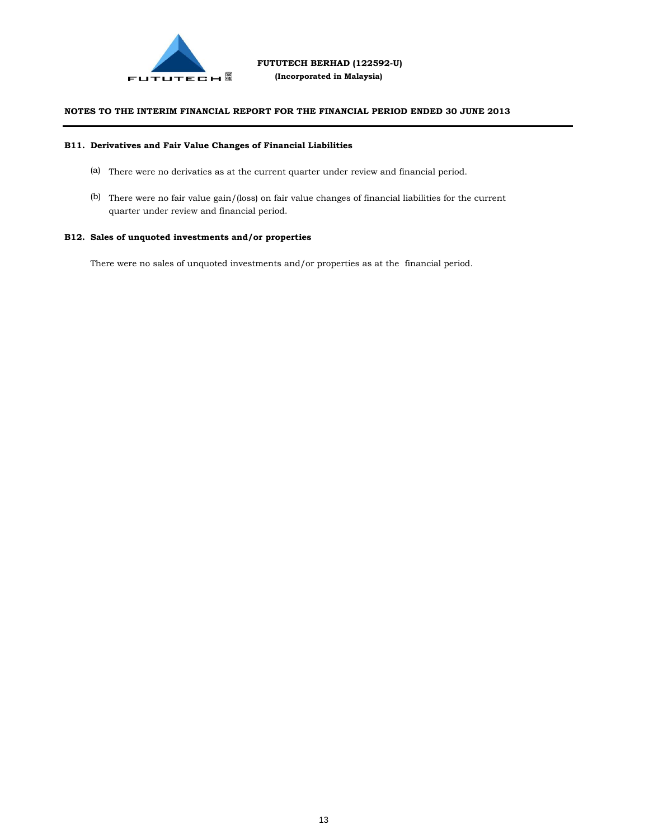

#### **B11. Derivatives and Fair Value Changes of Financial Liabilities**

- (a) There were no derivaties as at the current quarter under review and financial period.
- (b) There were no fair value gain/(loss) on fair value changes of financial liabilities for the current quarter under review and financial period.

#### **B12. Sales of unquoted investments and/or properties**

There were no sales of unquoted investments and/or properties as at the financial period.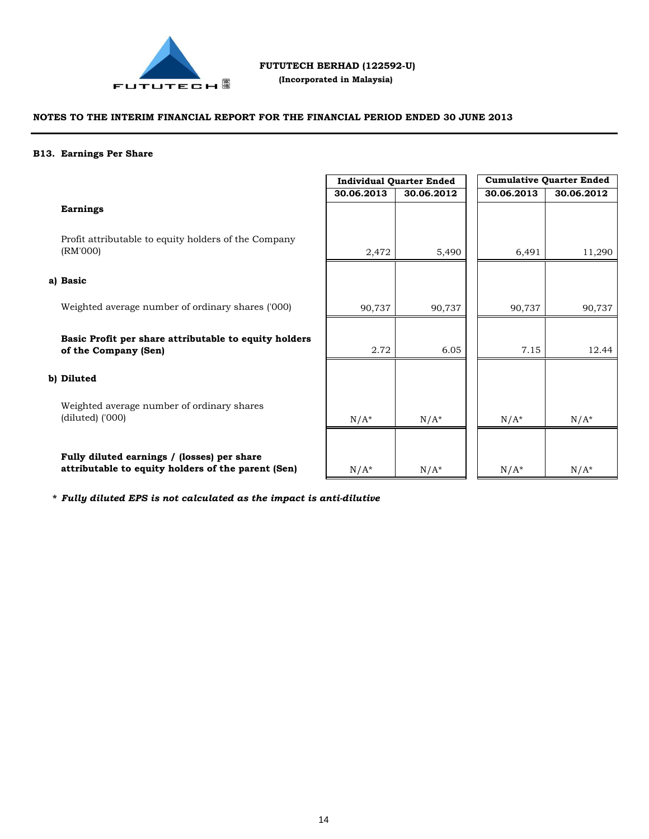

 **(Incorporated in Malaysia)**

# **NOTES TO THE INTERIM FINANCIAL REPORT FOR THE FINANCIAL PERIOD ENDED 30 JUNE 2013**

#### **B13. Earnings Per Share**

|                                                                               | <b>Individual Quarter Ended</b> |            | <b>Cumulative Quarter Ended</b> |            |
|-------------------------------------------------------------------------------|---------------------------------|------------|---------------------------------|------------|
|                                                                               | 30.06.2013                      | 30.06.2012 | 30.06.2013                      | 30.06.2012 |
| <b>Earnings</b>                                                               |                                 |            |                                 |            |
| Profit attributable to equity holders of the Company<br>(RM'000)              | 2,472                           | 5,490      | 6,491                           | 11,290     |
| a) Basic                                                                      |                                 |            |                                 |            |
| Weighted average number of ordinary shares ('000)                             | 90,737                          | 90,737     | 90,737                          | 90,737     |
| Basic Profit per share attributable to equity holders<br>of the Company (Sen) | 2.72                            | 6.05       | 7.15                            | 12.44      |
| b) Diluted                                                                    |                                 |            |                                 |            |
| Weighted average number of ordinary shares<br>$(diluted)$ ('000)              | $N/A^*$                         | $N/A^*$    | $N/A^*$                         | $N/A^*$    |
| Fully diluted earnings / (losses) per share                                   |                                 |            |                                 |            |

 $N/A^*$   $N/A^*$   $N/A^*$   $N/A^*$   $N/A^*$ 

**\*** *Fully diluted EPS is not calculated as the impact is anti-dilutive*

**attributable to equity holders of the parent (Sen)**